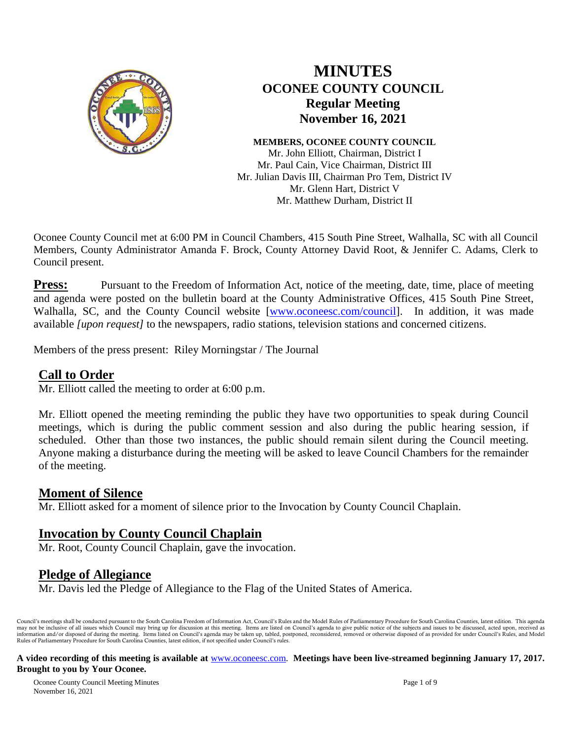

# **MINUTES OCONEE COUNTY COUNCIL Regular Meeting November 16, 2021**

#### **MEMBERS, OCONEE COUNTY COUNCIL**

Mr. John Elliott, Chairman, District I Mr. Paul Cain, Vice Chairman, District III Mr. Julian Davis III, Chairman Pro Tem, District IV Mr. Glenn Hart, District V Mr. Matthew Durham, District II

Oconee County Council met at 6:00 PM in Council Chambers, 415 South Pine Street, Walhalla, SC with all Council Members, County Administrator Amanda F. Brock, County Attorney David Root, & Jennifer C. Adams, Clerk to Council present.

**Press:** Pursuant to the Freedom of Information Act, notice of the meeting, date, time, place of meeting and agenda were posted on the bulletin board at the County Administrative Offices, 415 South Pine Street, Walhalla, SC, and the County Council website [\[www.oconeesc.com/council\]](http://www.oconeesc.com/council). In addition, it was made available *[upon request]* to the newspapers, radio stations, television stations and concerned citizens.

Members of the press present: Riley Morningstar / The Journal

## **Call to Order**

Mr. Elliott called the meeting to order at 6:00 p.m.

Mr. Elliott opened the meeting reminding the public they have two opportunities to speak during Council meetings, which is during the public comment session and also during the public hearing session, if scheduled. Other than those two instances, the public should remain silent during the Council meeting. Anyone making a disturbance during the meeting will be asked to leave Council Chambers for the remainder of the meeting.

## **Moment of Silence**

Mr. Elliott asked for a moment of silence prior to the Invocation by County Council Chaplain.

# **Invocation by County Council Chaplain**

Mr. Root, County Council Chaplain, gave the invocation.

# **Pledge of Allegiance**

Mr. Davis led the Pledge of Allegiance to the Flag of the United States of America.

Council's meetings shall be conducted pursuant to the South Carolina Freedom of Information Act, Council's Rules and the Model Rules of Parliamentary Procedure for South Carolina Counties, latest edition. This agenda may not be inclusive of all issues which Council may bring up for discussion at this meeting. Items are listed on Council's agenda to give public notice of the subjects and issues to be discussed, acted upon, received as i Rules of Parliamentary Procedure for South Carolina Counties, latest edition, if not specified under Council's rules.

#### **A video recording of this meeting is available at** [www.oconeesc.com.](http://www.oconeesc.com/) **Meetings have been live-streamed beginning January 17, 2017. Brought to you by Your Oconee.**

Oconee County Council Meeting Minutes Page 1 of 9 November 16, 2021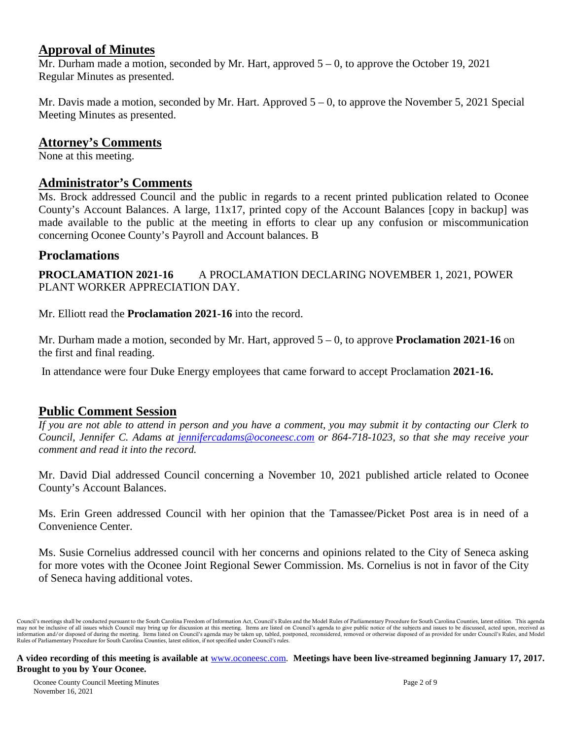## **Approval of Minutes**

Mr. Durham made a motion, seconded by Mr. Hart, approved  $5 - 0$ , to approve the October 19, 2021 Regular Minutes as presented.

Mr. Davis made a motion, seconded by Mr. Hart. Approved  $5 - 0$ , to approve the November 5, 2021 Special Meeting Minutes as presented.

## **Attorney's Comments**

None at this meeting.

## **Administrator's Comments**

Ms. Brock addressed Council and the public in regards to a recent printed publication related to Oconee County's Account Balances. A large, 11x17, printed copy of the Account Balances [copy in backup] was made available to the public at the meeting in efforts to clear up any confusion or miscommunication concerning Oconee County's Payroll and Account balances. B

## **Proclamations**

**PROCLAMATION 2021-16** A PROCLAMATION DECLARING NOVEMBER 1, 2021, POWER PLANT WORKER APPRECIATION DAY.

Mr. Elliott read the **Proclamation 2021-16** into the record.

Mr. Durham made a motion, seconded by Mr. Hart, approved 5 – 0, to approve **Proclamation 2021-16** on the first and final reading.

In attendance were four Duke Energy employees that came forward to accept Proclamation **2021-16.**

## **Public Comment Session**

*If you are not able to attend in person and you have a comment, you may submit it by contacting our Clerk to Council, Jennifer C. Adams at jennifercadams@oconeesc.com or 864-718-1023, so that she may receive your comment and read it into the record.* 

Mr. David Dial addressed Council concerning a November 10, 2021 published article related to Oconee County's Account Balances.

Ms. Erin Green addressed Council with her opinion that the Tamassee/Picket Post area is in need of a Convenience Center.

Ms. Susie Cornelius addressed council with her concerns and opinions related to the City of Seneca asking for more votes with the Oconee Joint Regional Sewer Commission. Ms. Cornelius is not in favor of the City of Seneca having additional votes.

Council's meetings shall be conducted pursuant to the South Carolina Freedom of Information Act, Council's Rules and the Model Rules of Parliamentary Procedure for South Carolina Counties, latest edition. This agenda may not be inclusive of all issues which Council may bring up for discussion at this meeting. Items are listed on Council's agenda to give public notice of the subjects and issues to be discussed, acted upon, received as i Rules of Parliamentary Procedure for South Carolina Counties, latest edition, if not specified under Council's rules.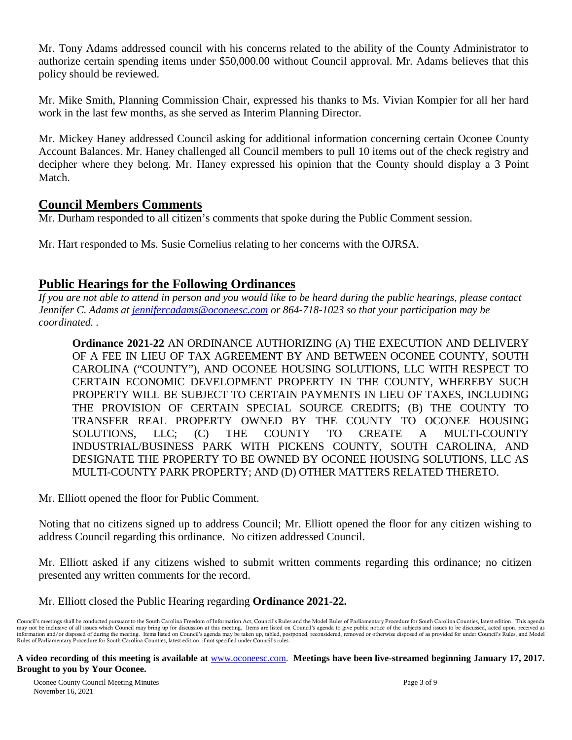Mr. Tony Adams addressed council with his concerns related to the ability of the County Administrator to authorize certain spending items under \$50,000.00 without Council approval. Mr. Adams believes that this policy should be reviewed.

Mr. Mike Smith, Planning Commission Chair, expressed his thanks to Ms. Vivian Kompier for all her hard work in the last few months, as she served as Interim Planning Director.

Mr. Mickey Haney addressed Council asking for additional information concerning certain Oconee County Account Balances. Mr. Haney challenged all Council members to pull 10 items out of the check registry and decipher where they belong. Mr. Haney expressed his opinion that the County should display a 3 Point Match.

## **Council Members Comments**

Mr. Durham responded to all citizen's comments that spoke during the Public Comment session.

Mr. Hart responded to Ms. Susie Cornelius relating to her concerns with the OJRSA.

## **Public Hearings for the Following Ordinances**

*If you are not able to attend in person and you would like to be heard during the public hearings, please contact Jennifer C. Adams at jennifercadams@oconeesc.com or 864-718-1023 so that your participation may be coordinated. .*

**Ordinance 2021-22** AN ORDINANCE AUTHORIZING (A) THE EXECUTION AND DELIVERY OF A FEE IN LIEU OF TAX AGREEMENT BY AND BETWEEN OCONEE COUNTY, SOUTH CAROLINA ("COUNTY"), AND OCONEE HOUSING SOLUTIONS, LLC WITH RESPECT TO CERTAIN ECONOMIC DEVELOPMENT PROPERTY IN THE COUNTY, WHEREBY SUCH PROPERTY WILL BE SUBJECT TO CERTAIN PAYMENTS IN LIEU OF TAXES, INCLUDING THE PROVISION OF CERTAIN SPECIAL SOURCE CREDITS; (B) THE COUNTY TO TRANSFER REAL PROPERTY OWNED BY THE COUNTY TO OCONEE HOUSING SOLUTIONS, LLC; (C) THE COUNTY TO CREATE A MULTI-COUNTY INDUSTRIAL/BUSINESS PARK WITH PICKENS COUNTY, SOUTH CAROLINA, AND DESIGNATE THE PROPERTY TO BE OWNED BY OCONEE HOUSING SOLUTIONS, LLC AS MULTI-COUNTY PARK PROPERTY; AND (D) OTHER MATTERS RELATED THERETO.

Mr. Elliott opened the floor for Public Comment.

Noting that no citizens signed up to address Council; Mr. Elliott opened the floor for any citizen wishing to address Council regarding this ordinance. No citizen addressed Council.

Mr. Elliott asked if any citizens wished to submit written comments regarding this ordinance; no citizen presented any written comments for the record.

## Mr. Elliott closed the Public Hearing regarding **Ordinance 2021-22.**

Council's meetings shall be conducted pursuant to the South Carolina Freedom of Information Act, Council's Rules and the Model Rules of Parliamentary Procedure for South Carolina Counties, latest edition. This agenda may not be inclusive of all issues which Council may bring up for discussion at this meeting. Items are listed on Council's agenda to give public notice of the subjects and issues to be discussed, acted upon, received as i Rules of Parliamentary Procedure for South Carolina Counties, latest edition, if not specified under Council's rules.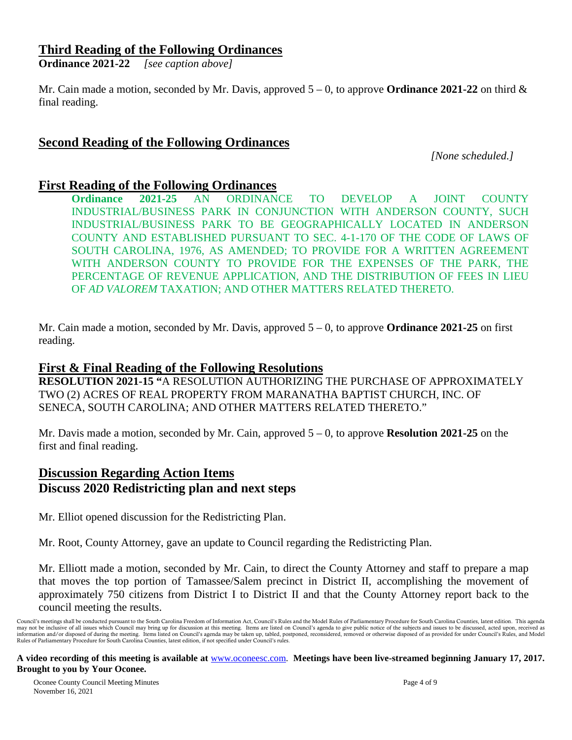## **Third Reading of the Following Ordinances**

**Ordinance 2021-22** *[see caption above]*

Mr. Cain made a motion, seconded by Mr. Davis, approved  $5 - 0$ , to approve **Ordinance 2021-22** on third  $\&$ final reading.

## **Second Reading of the Following Ordinances**

*[None scheduled.]*

## **First Reading of the Following Ordinances**

**Ordinance 2021-25** AN ORDINANCE TO DEVELOP A JOINT COUNTY INDUSTRIAL/BUSINESS PARK IN CONJUNCTION WITH ANDERSON COUNTY, SUCH INDUSTRIAL/BUSINESS PARK TO BE GEOGRAPHICALLY LOCATED IN ANDERSON COUNTY AND ESTABLISHED PURSUANT TO SEC. 4-1-170 OF THE CODE OF LAWS OF SOUTH CAROLINA, 1976, AS AMENDED; TO PROVIDE FOR A WRITTEN AGREEMENT WITH ANDERSON COUNTY TO PROVIDE FOR THE EXPENSES OF THE PARK, THE PERCENTAGE OF REVENUE APPLICATION, AND THE DISTRIBUTION OF FEES IN LIEU OF *AD VALOREM* TAXATION; AND OTHER MATTERS RELATED THERETO.

Mr. Cain made a motion, seconded by Mr. Davis, approved 5 – 0, to approve **Ordinance 2021-25** on first reading.

## **First & Final Reading of the Following Resolutions**

**RESOLUTION 2021-15 "**A RESOLUTION AUTHORIZING THE PURCHASE OF APPROXIMATELY TWO (2) ACRES OF REAL PROPERTY FROM MARANATHA BAPTIST CHURCH, INC. OF SENECA, SOUTH CAROLINA; AND OTHER MATTERS RELATED THERETO."

Mr. Davis made a motion, seconded by Mr. Cain, approved 5 – 0, to approve **Resolution 2021-25** on the first and final reading.

## **Discussion Regarding Action Items Discuss 2020 Redistricting plan and next steps**

Mr. Elliot opened discussion for the Redistricting Plan.

Mr. Root, County Attorney, gave an update to Council regarding the Redistricting Plan.

Mr. Elliott made a motion, seconded by Mr. Cain, to direct the County Attorney and staff to prepare a map that moves the top portion of Tamassee/Salem precinct in District II, accomplishing the movement of approximately 750 citizens from District I to District II and that the County Attorney report back to the council meeting the results.

Council's meetings shall be conducted pursuant to the South Carolina Freedom of Information Act, Council's Rules and the Model Rules of Parliamentary Procedure for South Carolina Counties, latest edition. This agenda may not be inclusive of all issues which Council may bring up for discussion at this meeting. Items are listed on Council's agenda to give public notice of the subjects and issues to be discussed, acted upon, received as i Rules of Parliamentary Procedure for South Carolina Counties, latest edition, if not specified under Council's rules.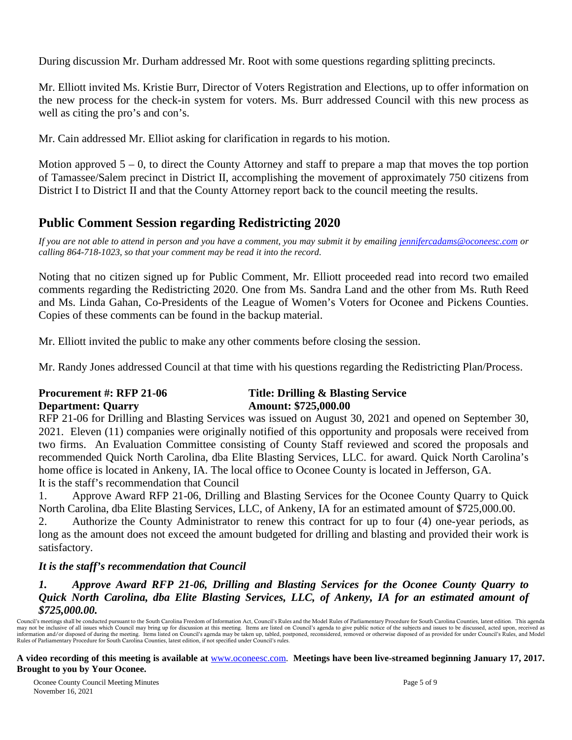During discussion Mr. Durham addressed Mr. Root with some questions regarding splitting precincts.

Mr. Elliott invited Ms. Kristie Burr, Director of Voters Registration and Elections, up to offer information on the new process for the check-in system for voters. Ms. Burr addressed Council with this new process as well as citing the pro's and con's.

Mr. Cain addressed Mr. Elliot asking for clarification in regards to his motion.

Motion approved  $5 - 0$ , to direct the County Attorney and staff to prepare a map that moves the top portion of Tamassee/Salem precinct in District II, accomplishing the movement of approximately 750 citizens from District I to District II and that the County Attorney report back to the council meeting the results.

# **Public Comment Session regarding Redistricting 2020**

*If you are not able to attend in person and you have a comment, you may submit it by emailing [jennifercadams@oconeesc.com](mailto:jennifercadams@oconeesc.com) or calling 864-718-1023, so that your comment may be read it into the record.*

Noting that no citizen signed up for Public Comment, Mr. Elliott proceeded read into record two emailed comments regarding the Redistricting 2020. One from Ms. Sandra Land and the other from Ms. Ruth Reed and Ms. Linda Gahan, Co-Presidents of the League of Women's Voters for Oconee and Pickens Counties. Copies of these comments can be found in the backup material.

Mr. Elliott invited the public to make any other comments before closing the session.

Mr. Randy Jones addressed Council at that time with his questions regarding the Redistricting Plan/Process.

# **Department: Ouarry Amount: \$725,000.00**

# **Procurement #: RFP 21-06 Title: Drilling & Blasting Service**

RFP 21-06 for Drilling and Blasting Services was issued on August 30, 2021 and opened on September 30, 2021. Eleven (11) companies were originally notified of this opportunity and proposals were received from two firms. An Evaluation Committee consisting of County Staff reviewed and scored the proposals and recommended Quick North Carolina, dba Elite Blasting Services, LLC. for award. Quick North Carolina's home office is located in Ankeny, IA. The local office to Oconee County is located in Jefferson, GA. It is the staff's recommendation that Council

1. Approve Award RFP 21-06, Drilling and Blasting Services for the Oconee County Quarry to Quick North Carolina, dba Elite Blasting Services, LLC, of Ankeny, IA for an estimated amount of \$725,000.00.

2. Authorize the County Administrator to renew this contract for up to four (4) one-year periods, as long as the amount does not exceed the amount budgeted for drilling and blasting and provided their work is satisfactory.

## *It is the staff's recommendation that Council*

#### *1. Approve Award RFP 21-06, Drilling and Blasting Services for the Oconee County Quarry to Quick North Carolina, dba Elite Blasting Services, LLC, of Ankeny, IA for an estimated amount of \$725,000.00.*

Council's meetings shall be conducted pursuant to the South Carolina Freedom of Information Act, Council's Rules and the Model Rules of Parliamentary Procedure for South Carolina Counties, latest edition. This agenda may not be inclusive of all issues which Council may bring up for discussion at this meeting. Items are listed on Council's agenda to give public notice of the subjects and issues to be discussed, acted upon, received as i Rules of Parliamentary Procedure for South Carolina Counties, latest edition, if not specified under Council's rules.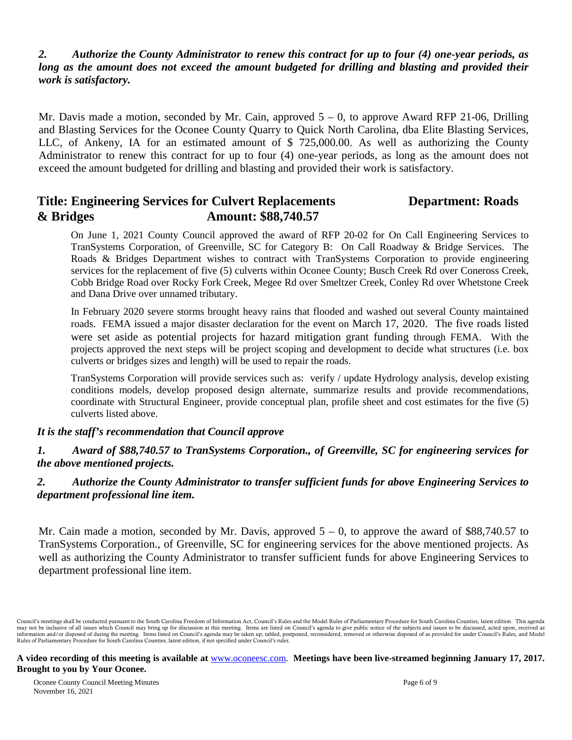## *2. Authorize the County Administrator to renew this contract for up to four (4) one-year periods, as long as the amount does not exceed the amount budgeted for drilling and blasting and provided their work is satisfactory.*

Mr. Davis made a motion, seconded by Mr. Cain, approved  $5 - 0$ , to approve Award RFP 21-06, Drilling and Blasting Services for the Oconee County Quarry to Quick North Carolina, dba Elite Blasting Services, LLC, of Ankeny, IA for an estimated amount of \$ 725,000.00. As well as authorizing the County Administrator to renew this contract for up to four (4) one-year periods, as long as the amount does not exceed the amount budgeted for drilling and blasting and provided their work is satisfactory.

# **Title: Engineering Services for Culvert Replacements Department: Roads & Bridges Amount: \$88,740.57**

On June 1, 2021 County Council approved the award of RFP 20-02 for On Call Engineering Services to TranSystems Corporation, of Greenville, SC for Category B: On Call Roadway & Bridge Services. The Roads & Bridges Department wishes to contract with TranSystems Corporation to provide engineering services for the replacement of five (5) culverts within Oconee County; Busch Creek Rd over Coneross Creek, Cobb Bridge Road over Rocky Fork Creek, Megee Rd over Smeltzer Creek, Conley Rd over Whetstone Creek and Dana Drive over unnamed tributary.

In February 2020 severe storms brought heavy rains that flooded and washed out several County maintained roads. FEMA issued a major disaster declaration for the event on March 17, 2020. The five roads listed were set aside as potential projects for hazard mitigation grant funding through FEMA. With the projects approved the next steps will be project scoping and development to decide what structures (i.e. box culverts or bridges sizes and length) will be used to repair the roads.

TranSystems Corporation will provide services such as: verify / update Hydrology analysis, develop existing conditions models, develop proposed design alternate, summarize results and provide recommendations, coordinate with Structural Engineer, provide conceptual plan, profile sheet and cost estimates for the five (5) culverts listed above.

#### *It is the staff's recommendation that Council approve*

*1. Award of \$88,740.57 to TranSystems Corporation., of Greenville, SC for engineering services for the above mentioned projects.*

#### *2. Authorize the County Administrator to transfer sufficient funds for above Engineering Services to department professional line item.*

Mr. Cain made a motion, seconded by Mr. Davis, approved  $5 - 0$ , to approve the award of \$88,740.57 to TranSystems Corporation., of Greenville, SC for engineering services for the above mentioned projects. As well as authorizing the County Administrator to transfer sufficient funds for above Engineering Services to department professional line item.

Council's meetings shall be conducted pursuant to the South Carolina Freedom of Information Act, Council's Rules and the Model Rules of Parliamentary Procedure for South Carolina Counties, latest edition. This agenda may not be inclusive of all issues which Council may bring up for discussion at this meeting. Items are listed on Council's agenda to give public notice of the subjects and issues to be discussed, acted upon, received as i Rules of Parliamentary Procedure for South Carolina Counties, latest edition, if not specified under Council's rules.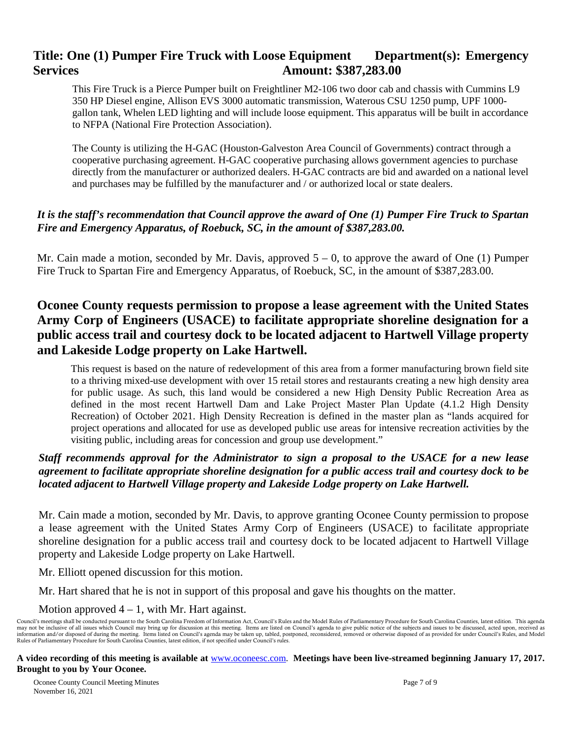# **Title: One (1) Pumper Fire Truck with Loose Equipment Department(s): Emergency Services** Amount: \$387,283.00

This Fire Truck is a Pierce Pumper built on Freightliner M2-106 two door cab and chassis with Cummins L9 350 HP Diesel engine, Allison EVS 3000 automatic transmission, Waterous CSU 1250 pump, UPF 1000 gallon tank, Whelen LED lighting and will include loose equipment. This apparatus will be built in accordance to NFPA (National Fire Protection Association).

The County is utilizing the H-GAC (Houston-Galveston Area Council of Governments) contract through a cooperative purchasing agreement. H-GAC cooperative purchasing allows government agencies to purchase directly from the manufacturer or authorized dealers. H-GAC contracts are bid and awarded on a national level and purchases may be fulfilled by the manufacturer and / or authorized local or state dealers.

## *It is the staff's recommendation that Council approve the award of One (1) Pumper Fire Truck to Spartan Fire and Emergency Apparatus, of Roebuck, SC, in the amount of \$387,283.00.*

Mr. Cain made a motion, seconded by Mr. Davis, approved  $5 - 0$ , to approve the award of One (1) Pumper Fire Truck to Spartan Fire and Emergency Apparatus, of Roebuck, SC, in the amount of \$387,283.00.

# **Oconee County requests permission to propose a lease agreement with the United States Army Corp of Engineers (USACE) to facilitate appropriate shoreline designation for a public access trail and courtesy dock to be located adjacent to Hartwell Village property and Lakeside Lodge property on Lake Hartwell.**

This request is based on the nature of redevelopment of this area from a former manufacturing brown field site to a thriving mixed-use development with over 15 retail stores and restaurants creating a new high density area for public usage. As such, this land would be considered a new High Density Public Recreation Area as defined in the most recent Hartwell Dam and Lake Project Master Plan Update (4.1.2 High Density Recreation) of October 2021. High Density Recreation is defined in the master plan as "lands acquired for project operations and allocated for use as developed public use areas for intensive recreation activities by the visiting public, including areas for concession and group use development."

#### *Staff recommends approval for the Administrator to sign a proposal to the USACE for a new lease agreement to facilitate appropriate shoreline designation for a public access trail and courtesy dock to be located adjacent to Hartwell Village property and Lakeside Lodge property on Lake Hartwell.*

Mr. Cain made a motion, seconded by Mr. Davis, to approve granting Oconee County permission to propose a lease agreement with the United States Army Corp of Engineers (USACE) to facilitate appropriate shoreline designation for a public access trail and courtesy dock to be located adjacent to Hartwell Village property and Lakeside Lodge property on Lake Hartwell.

Mr. Elliott opened discussion for this motion.

Mr. Hart shared that he is not in support of this proposal and gave his thoughts on the matter.

#### Motion approved  $4 - 1$ , with Mr. Hart against.

Council's meetings shall be conducted pursuant to the South Carolina Freedom of Information Act, Council's Rules and the Model Rules of Parliamentary Procedure for South Carolina Counties, latest edition. This agenda may not be inclusive of all issues which Council may bring up for discussion at this meeting. Items are listed on Council's agenda to give public notice of the subjects and issues to be discussed, acted upon, received as i Rules of Parliamentary Procedure for South Carolina Counties, latest edition, if not specified under Council's rules.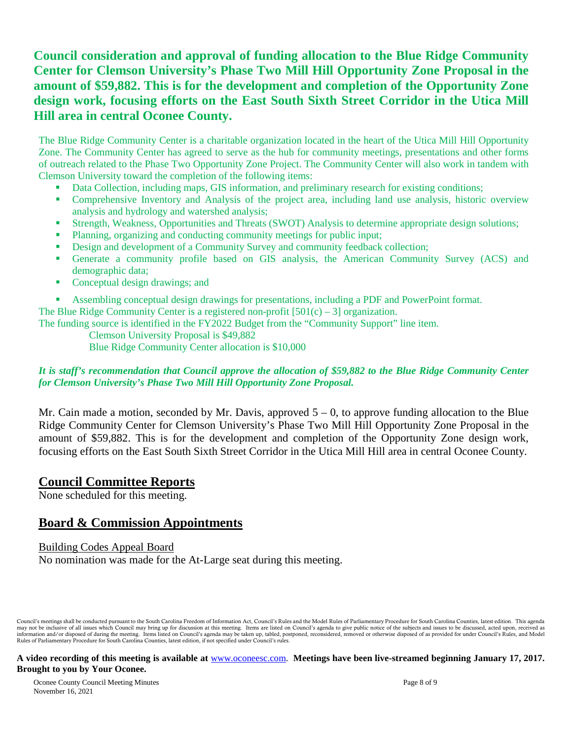# **Council consideration and approval of funding allocation to the Blue Ridge Community Center for Clemson University's Phase Two Mill Hill Opportunity Zone Proposal in the amount of \$59,882. This is for the development and completion of the Opportunity Zone design work, focusing efforts on the East South Sixth Street Corridor in the Utica Mill Hill area in central Oconee County.**

The Blue Ridge Community Center is a charitable organization located in the heart of the Utica Mill Hill Opportunity Zone. The Community Center has agreed to serve as the hub for community meetings, presentations and other forms of outreach related to the Phase Two Opportunity Zone Project. The Community Center will also work in tandem with Clemson University toward the completion of the following items:

- Data Collection, including maps, GIS information, and preliminary research for existing conditions;
- Comprehensive Inventory and Analysis of the project area, including land use analysis, historic overview analysis and hydrology and watershed analysis;
- Strength, Weakness, Opportunities and Threats (SWOT) Analysis to determine appropriate design solutions;
- Planning, organizing and conducting community meetings for public input;
- Design and development of a Community Survey and community feedback collection;
- Generate a community profile based on GIS analysis, the American Community Survey (ACS) and demographic data;
- Conceptual design drawings; and
- Assembling conceptual design drawings for presentations, including a PDF and PowerPoint format.

The Blue Ridge Community Center is a registered non-profit  $[501(c) - 3]$  organization.

The funding source is identified in the FY2022 Budget from the "Community Support" line item.

Clemson University Proposal is \$49,882

Blue Ridge Community Center allocation is \$10,000

#### *It is staff's recommendation that Council approve the allocation of \$59,882 to the Blue Ridge Community Center for Clemson University's Phase Two Mill Hill Opportunity Zone Proposal.*

Mr. Cain made a motion, seconded by Mr. Davis, approved  $5 - 0$ , to approve funding allocation to the Blue Ridge Community Center for Clemson University's Phase Two Mill Hill Opportunity Zone Proposal in the amount of \$59,882. This is for the development and completion of the Opportunity Zone design work, focusing efforts on the East South Sixth Street Corridor in the Utica Mill Hill area in central Oconee County.

#### **Council Committee Reports**

None scheduled for this meeting.

## **Board & Commission Appointments**

#### Building Codes Appeal Board No nomination was made for the At-Large seat during this meeting.

Council's meetings shall be conducted pursuant to the South Carolina Freedom of Information Act, Council's Rules and the Model Rules of Parliamentary Procedure for South Carolina Counties, latest edition. This agenda may not be inclusive of all issues which Council may bring up for discussion at this meeting. Items are listed on Council's agenda to give public notice of the subjects and issues to be discussed, acted upon, received as i Rules of Parliamentary Procedure for South Carolina Counties, latest edition, if not specified under Council's rules.

#### **A video recording of this meeting is available at** [www.oconeesc.com.](http://www.oconeesc.com/) **Meetings have been live-streamed beginning January 17, 2017. Brought to you by Your Oconee.**

Oconee County Council Meeting Minutes Page 8 of 9 November 16, 2021